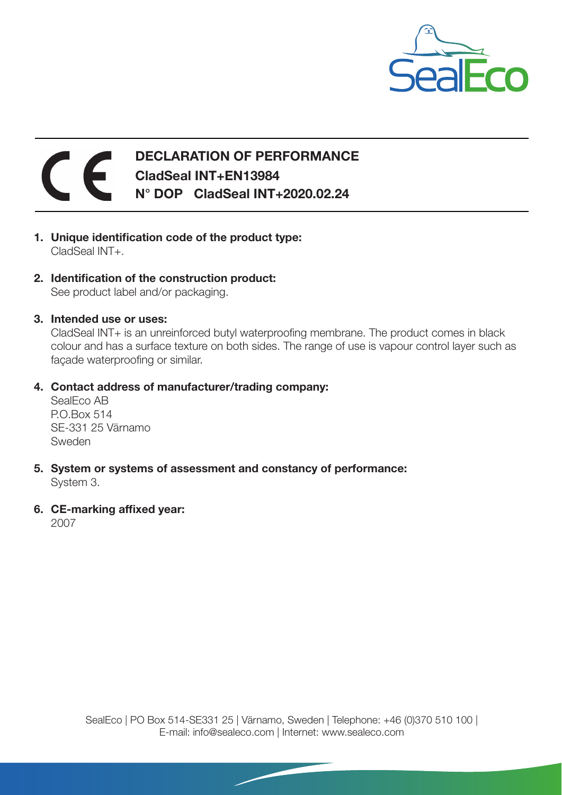

## DECLARATION OF PERFORMANCE  $\epsilon$ CladSeal INT+EN13984 N° DOP CladSeal INT+2020.02.24

- 1. Unique identification code of the product type: CladSeal INT+.
- 2. Identification of the construction product: See product label and/or packaging.
- 3. Intended use or uses:

CladSeal INT+ is an unreinforced butyl waterproofing membrane. The product comes in black colour and has a surface texture on both sides. The range of use is vapour control layer such as façade waterproofing or similar.

4. Contact address of manufacturer/trading company:

SealEco AB P.O.Box 514 SE-331 25 Värnamo Sweden

- 5. System or systems of assessment and constancy of performance: System 3.
- 6. CE-marking affixed year:

2007